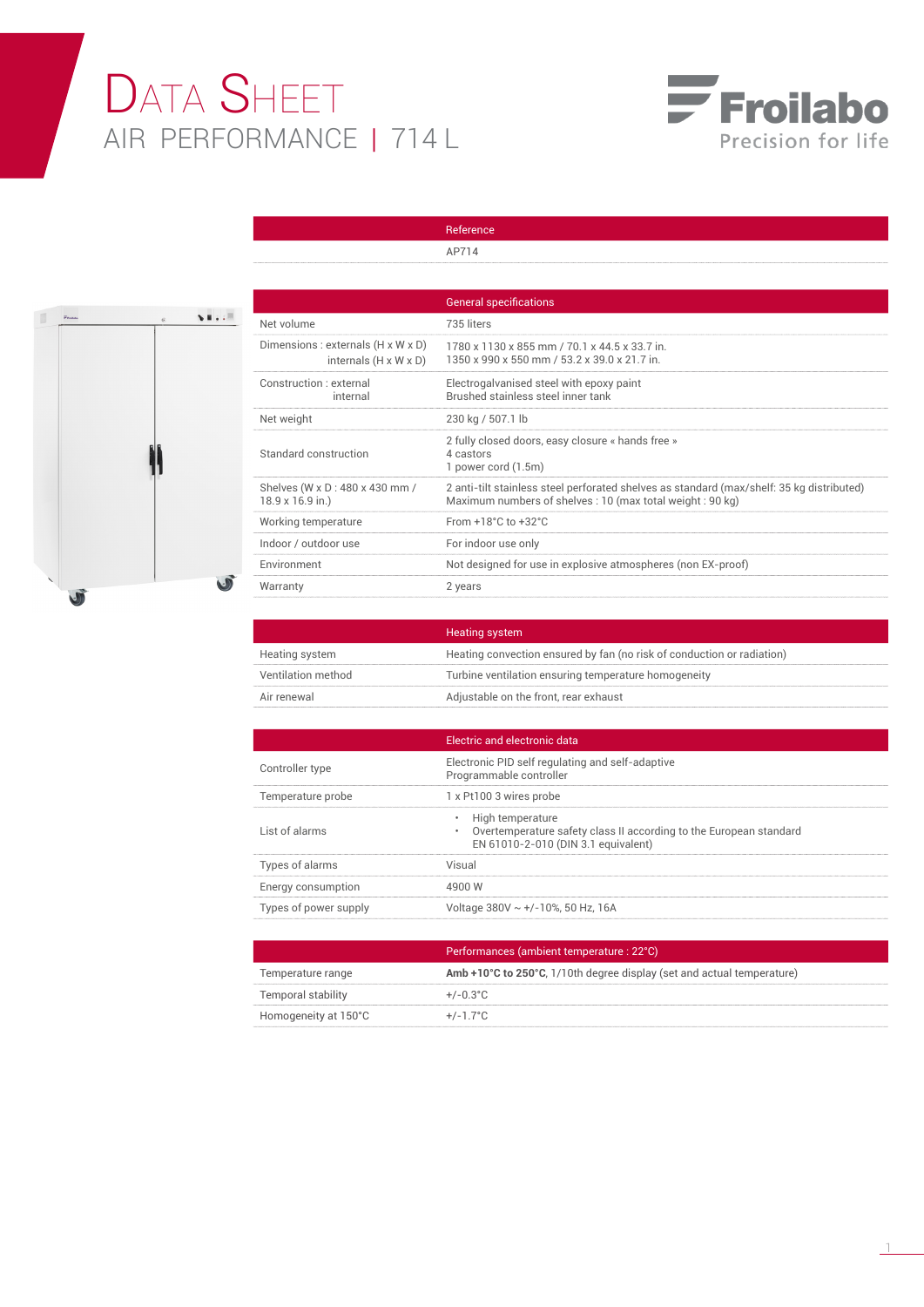## DATA SHEET AIR PERFORMANCE | 714 L





|                                                                                     | AP714                                                                                                                                                 |
|-------------------------------------------------------------------------------------|-------------------------------------------------------------------------------------------------------------------------------------------------------|
|                                                                                     |                                                                                                                                                       |
|                                                                                     | <b>General specifications</b>                                                                                                                         |
| Net volume                                                                          | 735 liters                                                                                                                                            |
| Dimensions : externals $(H \times W \times D)$<br>internals $(H \times W \times D)$ | 1780 x 1130 x 855 mm / 70.1 x 44.5 x 33.7 in.<br>1350 x 990 x 550 mm / 53.2 x 39.0 x 21.7 in.                                                         |
| Construction · external<br>internal                                                 | Electrogalvanised steel with epoxy paint<br>Brushed stainless steel inner tank                                                                        |
| Net weight                                                                          | 230 kg / 507.1 lb                                                                                                                                     |
| Standard construction                                                               | 2 fully closed doors, easy closure « hands free »<br>4 castors<br>1 power cord (1.5m)                                                                 |
| Shelves (W x D : 480 x 430 mm /<br>18.9 x 16.9 in.)                                 | 2 anti-tilt stainless steel perforated shelves as standard (max/shelf: 35 kg distributed)<br>Maximum numbers of shelves: 10 (max total weight: 90 kg) |
| Working temperature                                                                 | From $+18^{\circ}$ C to $+32^{\circ}$ C                                                                                                               |
| Indoor / outdoor use                                                                | For indoor use only                                                                                                                                   |
| Environment                                                                         | Not designed for use in explosive atmospheres (non EX-proof)                                                                                          |
| Warranty                                                                            | 2 years                                                                                                                                               |

Reference

|                    | <b>Heating system</b>                                                  |
|--------------------|------------------------------------------------------------------------|
| Heating system     | Heating convection ensured by fan (no risk of conduction or radiation) |
| Ventilation method | Turbine ventilation ensuring temperature homogeneity                   |
| Air renewal        | Adjustable on the front, rear exhaust                                  |

|                       | Electric and electronic data                                                                                                  |
|-----------------------|-------------------------------------------------------------------------------------------------------------------------------|
| Controller type       | Electronic PID self regulating and self-adaptive<br>Programmable controller                                                   |
| Temperature probe     | 1 x Pt100 3 wires probe                                                                                                       |
| List of alarms        | High temperature<br>Overtemperature safety class II according to the European standard<br>EN 61010-2-010 (DIN 3.1 equivalent) |
| Types of alarms       | Visual                                                                                                                        |
| Energy consumption    | 49NN W                                                                                                                        |
| Types of power supply | Voltage 380V ~ +/-10%, 50 Hz, 16A                                                                                             |

|                      | Performances (ambient temperature : 22°C)                              |
|----------------------|------------------------------------------------------------------------|
| Temperature range    | Amb +10°C to 250°C, 1/10th degree display (set and actual temperature) |
| Temporal stability   | $+/-0.3^{\circ}$ C                                                     |
| Homogeneity at 150°C | $+/-1.7^{\circ}$ C                                                     |